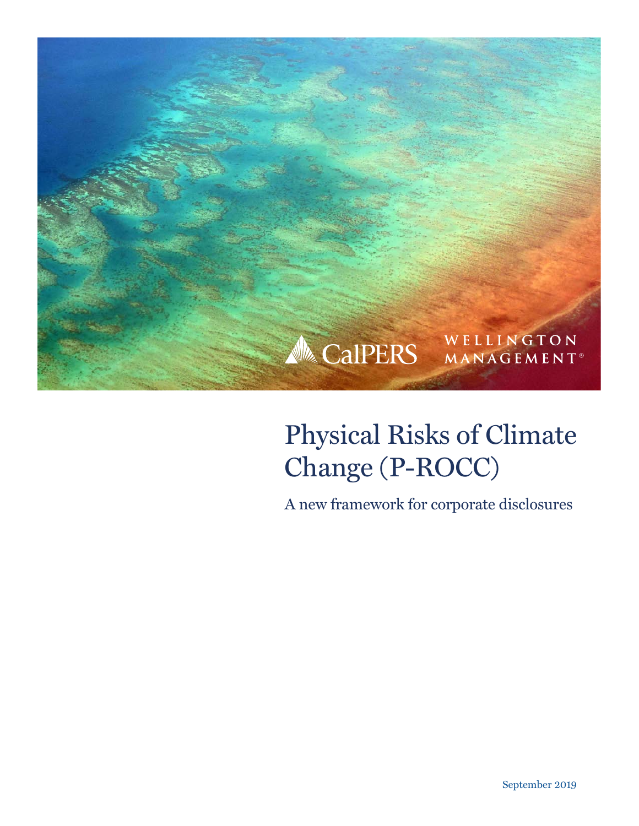

# Physical Risks of Climate Change (P-ROCC)

A new framework for corporate disclosures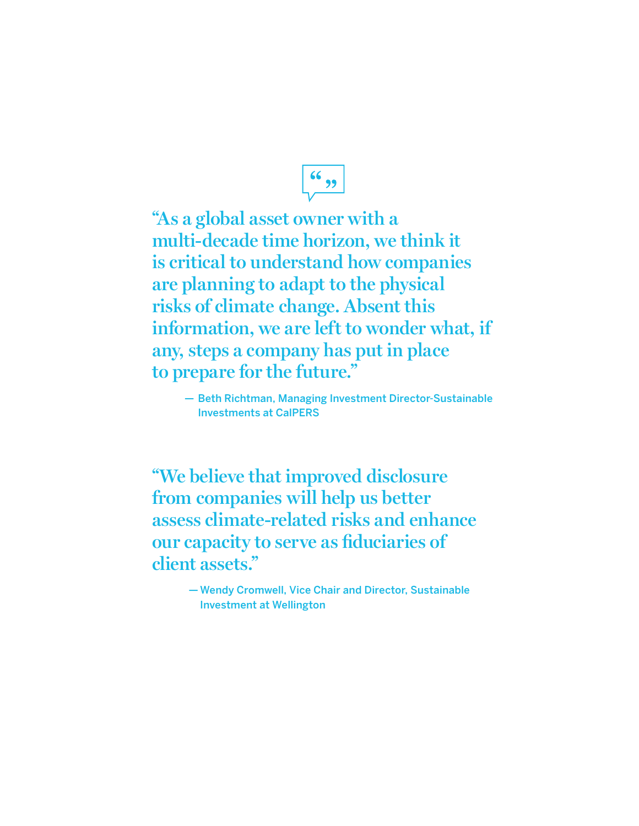$\frac{66}{22}$ 

**"As a global asset owner with a multi‑decade time horizon, we think it is critical to understand how companies are planning to adapt to the physical risks of climate change. Absent this information, we are left to wonder what, if any, steps a company has put in place to prepare for the future."**

— Beth Richtman, Managing Investment Director-Sustainable Investments at CalPERS

**"We believe that improved disclosure from companies will help us better assess climate-related risks and enhance our capacity to serve as fiduciaries of client assets."**

> — Wendy Cromwell, Vice Chair and Director, Sustainable Investment at Wellington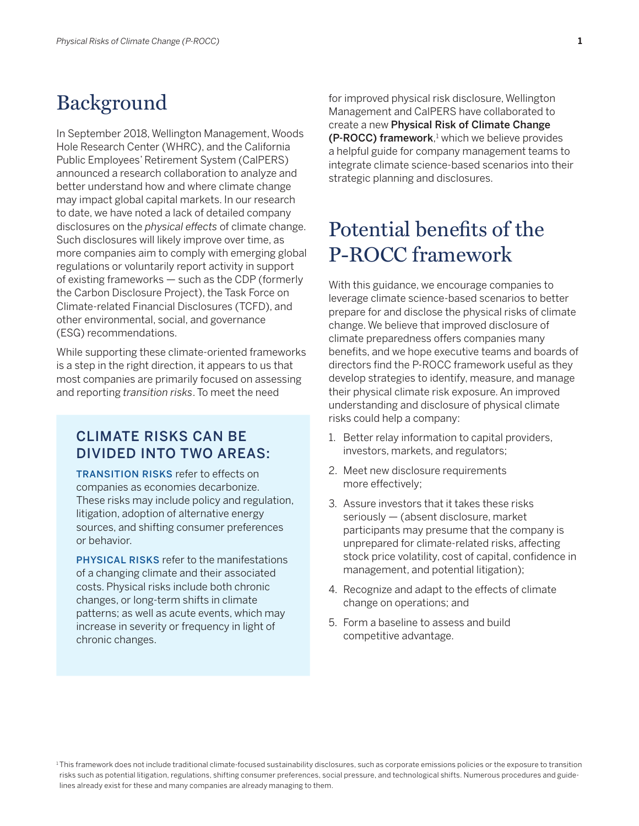### Background

In September 2018, Wellington Management, Woods Hole Research Center (WHRC), and the California Public Employees' Retirement System (CalPERS) announced a research collaboration to analyze and better understand how and where climate change may impact global capital markets. In our research to date, we have noted a lack of detailed company disclosures on the *physical effects* of climate change. Such disclosures will likely improve over time, as more companies aim to comply with emerging global regulations or voluntarily report activity in support of existing frameworks — such as the CDP (formerly the Carbon Disclosure Project), the Task Force on Climate-related Financial Disclosures (TCFD), and other environmental, social, and governance (ESG) recommendations.

While supporting these climate-oriented frameworks is a step in the right direction, it appears to us that most companies are primarily focused on assessing and reporting *transition risks*. To meet the need

### Climate risks can be divided into two areas:

**TRANSITION RISKS refer to effects on** companies as economies decarbonize. These risks may include policy and regulation, litigation, adoption of alternative energy sources, and shifting consumer preferences or behavior.

**PHYSICAL RISKS refer to the manifestations** of a changing climate and their associated costs. Physical risks include both chronic changes, or long-term shifts in climate patterns; as well as acute events, which may increase in severity or frequency in light of chronic changes.

for improved physical risk disclosure, Wellington Management and CalPERS have collaborated to create a new Physical Risk of Climate Change  $(P\text{-}ROCC)$  framework,<sup>1</sup> which we believe provides a helpful guide for company management teams to integrate climate science-based scenarios into their strategic planning and disclosures.

# Potential benefits of the P-ROCC framework

With this guidance, we encourage companies to leverage climate science-based scenarios to better prepare for and disclose the physical risks of climate change. We believe that improved disclosure of climate preparedness offers companies many benefits, and we hope executive teams and boards of directors find the P-ROCC framework useful as they develop strategies to identify, measure, and manage their physical climate risk exposure. An improved understanding and disclosure of physical climate risks could help a company:

- 1. Better relay information to capital providers, investors, markets, and regulators;
- 2. Meet new disclosure requirements more effectively;
- 3. Assure investors that it takes these risks seriously — (absent disclosure, market participants may presume that the company is unprepared for climate-related risks, affecting stock price volatility, cost of capital, confidence in management, and potential litigation);
- 4. Recognize and adapt to the effects of climate change on operations; and
- 5. Form a baseline to assess and build competitive advantage.

<sup>1</sup>This framework does not include traditional climate-focused sustainability disclosures, such as corporate emissions policies or the exposure to transition risks such as potential litigation, regulations, shifting consumer preferences, social pressure, and technological shifts. Numerous procedures and guidelines already exist for these and many companies are already managing to them.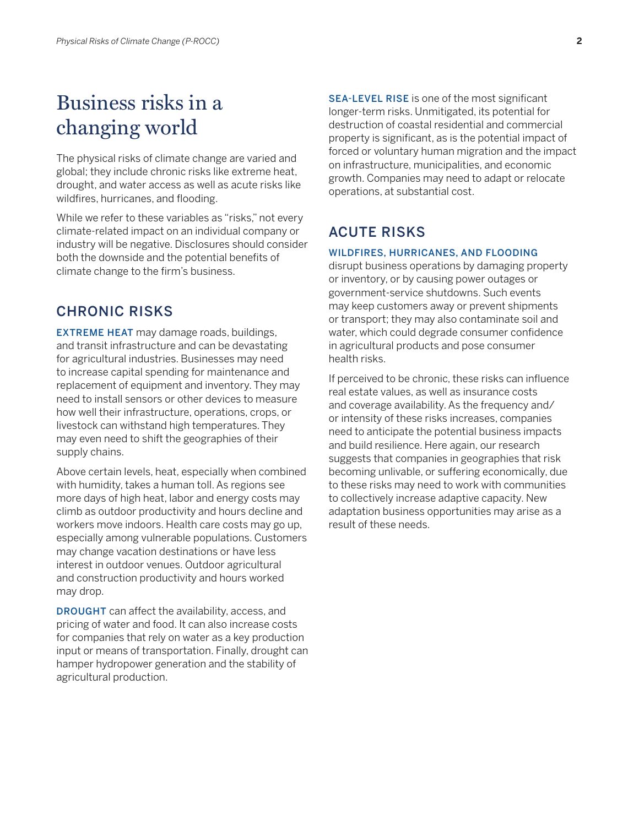# Business risks in a changing world

The physical risks of climate change are varied and global; they include chronic risks like extreme heat, drought, and water access as well as acute risks like wildfires, hurricanes, and flooding.

While we refer to these variables as "risks," not every climate-related impact on an individual company or industry will be negative. Disclosures should consider both the downside and the potential benefits of climate change to the firm's business.

### Chronic risks

**EXTREME HEAT** may damage roads, buildings, and transit infrastructure and can be devastating for agricultural industries. Businesses may need to increase capital spending for maintenance and replacement of equipment and inventory. They may need to install sensors or other devices to measure how well their infrastructure, operations, crops, or livestock can withstand high temperatures. They may even need to shift the geographies of their supply chains.

Above certain levels, heat, especially when combined with humidity, takes a human toll. As regions see more days of high heat, labor and energy costs may climb as outdoor productivity and hours decline and workers move indoors. Health care costs may go up, especially among vulnerable populations. Customers may change vacation destinations or have less interest in outdoor venues. Outdoor agricultural and construction productivity and hours worked may drop.

**DROUGHT** can affect the availability, access, and pricing of water and food. It can also increase costs for companies that rely on water as a key production input or means of transportation. Finally, drought can hamper hydropower generation and the stability of agricultural production.

SEA-LEVEL RISE is one of the most significant longer-term risks. Unmitigated, its potential for destruction of coastal residential and commercial property is significant, as is the potential impact of forced or voluntary human migration and the impact on infrastructure, municipalities, and economic growth. Companies may need to adapt or relocate operations, at substantial cost.

### **ACUTE RISKS**

#### Wildfires, hurricanes, and flooding

disrupt business operations by damaging property or inventory, or by causing power outages or government-service shutdowns. Such events may keep customers away or prevent shipments or transport; they may also contaminate soil and water, which could degrade consumer confidence in agricultural products and pose consumer health risks.

If perceived to be chronic, these risks can influence real estate values, as well as insurance costs and coverage availability. As the frequency and/ or intensity of these risks increases, companies need to anticipate the potential business impacts and build resilience. Here again, our research suggests that companies in geographies that risk becoming unlivable, or suffering economically, due to these risks may need to work with communities to collectively increase adaptive capacity. New adaptation business opportunities may arise as a result of these needs.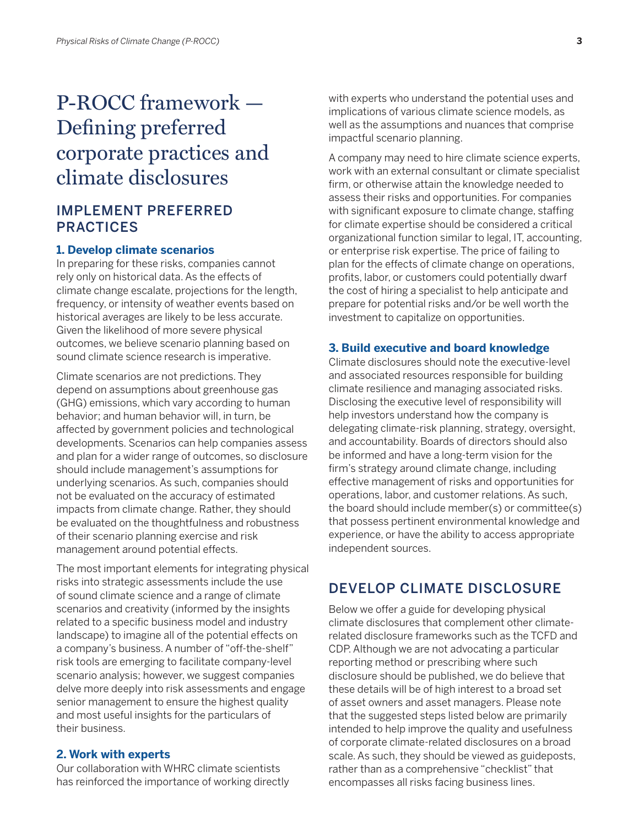# P-ROCC framework — Defining preferred corporate practices and climate disclosures

### Implement Preferred **PRACTICES**

#### **1. Develop climate scenarios**

In preparing for these risks, companies cannot rely only on historical data. As the effects of climate change escalate, projections for the length, frequency, or intensity of weather events based on historical averages are likely to be less accurate. Given the likelihood of more severe physical outcomes, we believe scenario planning based on sound climate science research is imperative.

Climate scenarios are not predictions. They depend on assumptions about greenhouse gas (GHG) emissions, which vary according to human behavior; and human behavior will, in turn, be affected by government policies and technological developments. Scenarios can help companies assess and plan for a wider range of outcomes, so disclosure should include management's assumptions for underlying scenarios. As such, companies should not be evaluated on the accuracy of estimated impacts from climate change. Rather, they should be evaluated on the thoughtfulness and robustness of their scenario planning exercise and risk management around potential effects.

The most important elements for integrating physical risks into strategic assessments include the use of sound climate science and a range of climate scenarios and creativity (informed by the insights related to a specific business model and industry landscape) to imagine all of the potential effects on a company's business. A number of "off-the-shelf" risk tools are emerging to facilitate company-level scenario analysis; however, we suggest companies delve more deeply into risk assessments and engage senior management to ensure the highest quality and most useful insights for the particulars of their business.

#### **2. Work with experts**

Our collaboration with WHRC climate scientists has reinforced the importance of working directly with experts who understand the potential uses and implications of various climate science models, as well as the assumptions and nuances that comprise impactful scenario planning.

A company may need to hire climate science experts, work with an external consultant or climate specialist firm, or otherwise attain the knowledge needed to assess their risks and opportunities. For companies with significant exposure to climate change, staffing for climate expertise should be considered a critical organizational function similar to legal, IT, accounting, or enterprise risk expertise. The price of failing to plan for the effects of climate change on operations, profits, labor, or customers could potentially dwarf the cost of hiring a specialist to help anticipate and prepare for potential risks and/or be well worth the investment to capitalize on opportunities.

#### **3. Build executive and board knowledge**

Climate disclosures should note the executive-level and associated resources responsible for building climate resilience and managing associated risks. Disclosing the executive level of responsibility will help investors understand how the company is delegating climate-risk planning, strategy, oversight, and accountability. Boards of directors should also be informed and have a long-term vision for the firm's strategy around climate change, including effective management of risks and opportunities for operations, labor, and customer relations. As such, the board should include member(s) or committee(s) that possess pertinent environmental knowledge and experience, or have the ability to access appropriate independent sources.

### Develop Climate Disclosure

Below we offer a guide for developing physical climate disclosures that complement other climaterelated disclosure frameworks such as the TCFD and CDP. Although we are not advocating a particular reporting method or prescribing where such disclosure should be published, we do believe that these details will be of high interest to a broad set of asset owners and asset managers. Please note that the suggested steps listed below are primarily intended to help improve the quality and usefulness of corporate climate-related disclosures on a broad scale. As such, they should be viewed as guideposts, rather than as a comprehensive "checklist" that encompasses all risks facing business lines.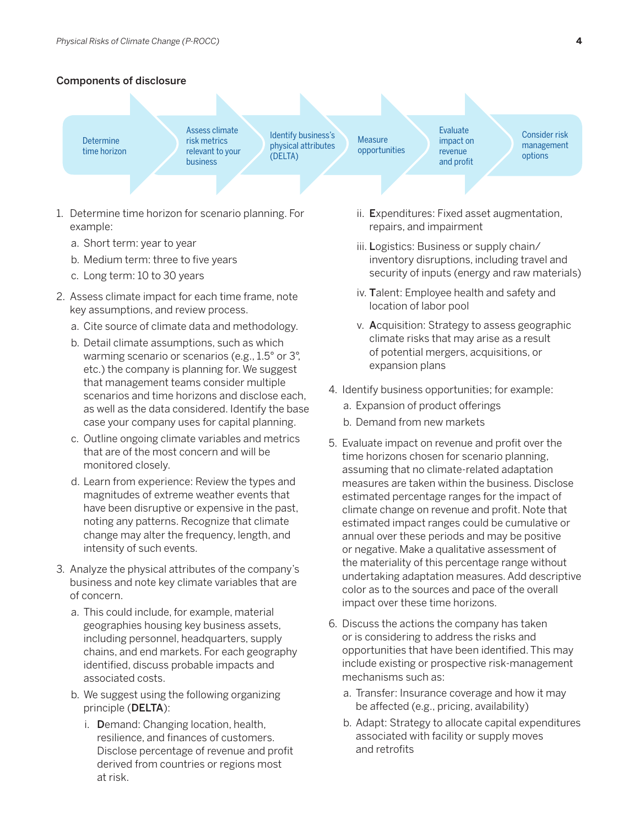#### Components of disclosure



- 1. Determine time horizon for scenario planning. For example:
	- a. Short term: year to year
	- b. Medium term: three to five years
	- c. Long term: 10 to 30 years
- 2. Assess climate impact for each time frame, note key assumptions, and review process.
	- a. Cite source of climate data and methodology.
	- b. Detail climate assumptions, such as which warming scenario or scenarios (e.g., 1.5° or 3°, etc.) the company is planning for. We suggest that management teams consider multiple scenarios and time horizons and disclose each, as well as the data considered. Identify the base case your company uses for capital planning.
	- c. Outline ongoing climate variables and metrics that are of the most concern and will be monitored closely.
	- d. Learn from experience: Review the types and magnitudes of extreme weather events that have been disruptive or expensive in the past, noting any patterns. Recognize that climate change may alter the frequency, length, and intensity of such events.
- 3. Analyze the physical attributes of the company's business and note key climate variables that are of concern.
	- a. This could include, for example, material geographies housing key business assets, including personnel, headquarters, supply chains, and end markets. For each geography identified, discuss probable impacts and associated costs.
	- b. We suggest using the following organizing principle (DELTA):
		- i. Demand: Changing location, health, resilience, and finances of customers. Disclose percentage of revenue and profit derived from countries or regions most at risk.
- ii. Expenditures: Fixed asset augmentation, repairs, and impairment
- iii. Logistics: Business or supply chain/ inventory disruptions, including travel and security of inputs (energy and raw materials)
- iv. Talent: Employee health and safety and location of labor pool
- v. Acquisition: Strategy to assess geographic climate risks that may arise as a result of potential mergers, acquisitions, or expansion plans
- 4. Identify business opportunities; for example:
	- a. Expansion of product offerings
	- b. Demand from new markets
- 5. Evaluate impact on revenue and profit over the time horizons chosen for scenario planning, assuming that no climate-related adaptation measures are taken within the business. Disclose estimated percentage ranges for the impact of climate change on revenue and profit. Note that estimated impact ranges could be cumulative or annual over these periods and may be positive or negative. Make a qualitative assessment of the materiality of this percentage range without undertaking adaptation measures. Add descriptive color as to the sources and pace of the overall impact over these time horizons.
- 6. Discuss the actions the company has taken or is considering to address the risks and opportunities that have been identified. This may include existing or prospective risk-management mechanisms such as:
	- a. Transfer: Insurance coverage and how it may be affected (e.g., pricing, availability)
	- b. Adapt: Strategy to allocate capital expenditures associated with facility or supply moves and retrofits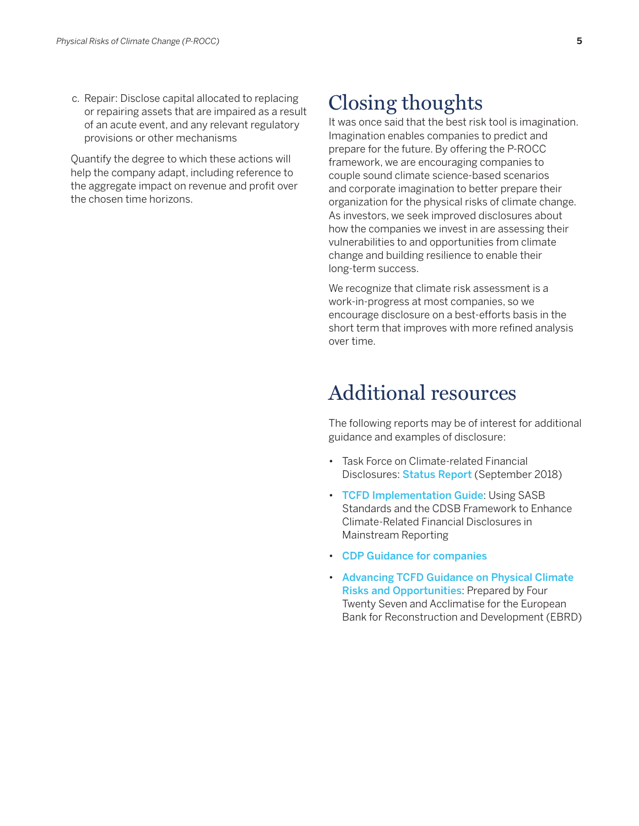c. Repair: Disclose capital allocated to replacing or repairing assets that are impaired as a result of an acute event, and any relevant regulatory provisions or other mechanisms

Quantify the degree to which these actions will help the company adapt, including reference to the aggregate impact on revenue and profit over the chosen time horizons.

# Closing thoughts

It was once said that the best risk tool is imagination. Imagination enables companies to predict and prepare for the future. By offering the P-ROCC framework, we are encouraging companies to couple sound climate science-based scenarios and corporate imagination to better prepare their organization for the physical risks of climate change. As investors, we seek improved disclosures about how the companies we invest in are assessing their vulnerabilities to and opportunities from climate change and building resilience to enable their long-term success.

We recognize that climate risk assessment is a work-in-progress at most companies, so we encourage disclosure on a best-efforts basis in the short term that improves with more refined analysis over time.

## Additional resources

The following reports may be of interest for additional guidance and examples of disclosure:

- Task Force on Climate-related Financial Disclosures: Status Report (September 2018)
- TCFD Implementation Guide: Using SASB Standards and the CDSB Framework to Enhance Climate-Related Financial Disclosures in Mainstream Reporting
- • CDP Guidance for companies
- • Advancing TCFD Guidance on Physical Climate Risks and Opportunities: Prepared by Four Twenty Seven and Acclimatise for the European Bank for Reconstruction and Development (EBRD)